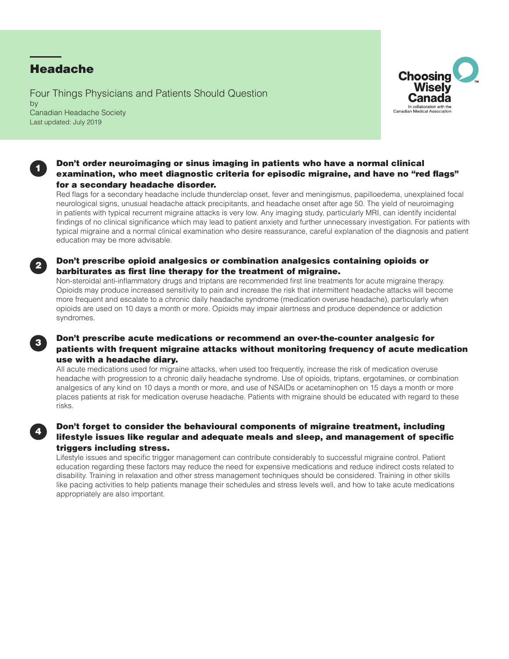# Headache

1

2

3

4

Four Things Physicians and Patients Should Question by Canadian Headache Society Last updated: July 2019



### Don't order neuroimaging or sinus imaging in patients who have a normal clinical examination, who meet diagnostic criteria for episodic migraine, and have no "red flags" for a secondary headache disorder.

Red flags for a secondary headache include thunderclap onset, fever and meningismus, papilloedema, unexplained focal neurological signs, unusual headache attack precipitants, and headache onset after age 50. The yield of neuroimaging in patients with typical recurrent migraine attacks is very low. Any imaging study, particularly MRI, can identify incidental findings of no clinical significance which may lead to patient anxiety and further unnecessary investigation. For patients with typical migraine and a normal clinical examination who desire reassurance, careful explanation of the diagnosis and patient education may be more advisable.

### Don't prescribe opioid analgesics or combination analgesics containing opioids or barbiturates as first line therapy for the treatment of migraine.

Non-steroidal anti-inflammatory drugs and triptans are recommended first line treatments for acute migraine therapy. Opioids may produce increased sensitivity to pain and increase the risk that intermittent headache attacks will become more frequent and escalate to a chronic daily headache syndrome (medication overuse headache), particularly when opioids are used on 10 days a month or more. Opioids may impair alertness and produce dependence or addiction syndromes.

## Don't prescribe acute medications or recommend an over-the-counter analgesic for patients with frequent migraine attacks without monitoring frequency of acute medication use with a headache diary.

All acute medications used for migraine attacks, when used too frequently, increase the risk of medication overuse headache with progression to a chronic daily headache syndrome. Use of opioids, triptans, ergotamines, or combination analgesics of any kind on 10 days a month or more, and use of NSAIDs or acetaminophen on 15 days a month or more places patients at risk for medication overuse headache. Patients with migraine should be educated with regard to these risks.

# Don't forget to consider the behavioural components of migraine treatment, including lifestyle issues like regular and adequate meals and sleep, and management of specific triggers including stress.

Lifestyle issues and specific trigger management can contribute considerably to successful migraine control. Patient education regarding these factors may reduce the need for expensive medications and reduce indirect costs related to disability. Training in relaxation and other stress management techniques should be considered. Training in other skills like pacing activities to help patients manage their schedules and stress levels well, and how to take acute medications appropriately are also important.